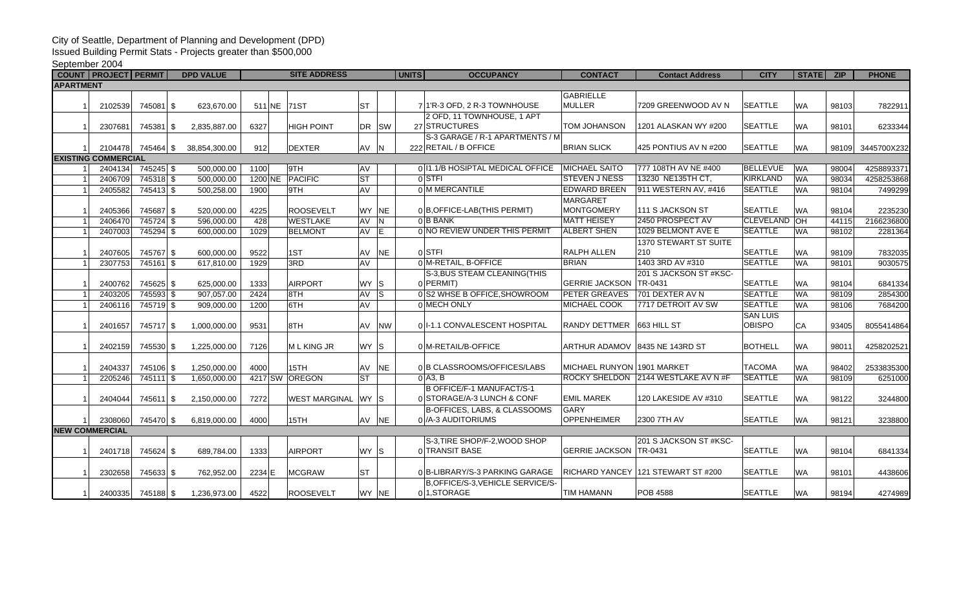## City of Seattle, Department of Planning and Development (DPD)

Issued Building Permit Stats - Projects greater than \$500,000

## September 2004

|                            |  | <b>COUNT   PROJECT   PERMIT</b> |                   | <b>DPD VALUE</b> |             | <b>SITE ADDRESS</b>       |           |                         | <b>UNITS</b> | <b>OCCUPANCY</b>                                               | <b>CONTACT</b>                    | <b>Contact Address</b>              | <b>CITY</b>                      | <b>STATE</b> | <b>ZIP</b> | <b>PHONE</b> |
|----------------------------|--|---------------------------------|-------------------|------------------|-------------|---------------------------|-----------|-------------------------|--------------|----------------------------------------------------------------|-----------------------------------|-------------------------------------|----------------------------------|--------------|------------|--------------|
| <b>APARTMENT</b>           |  |                                 |                   |                  |             |                           |           |                         |              |                                                                |                                   |                                     |                                  |              |            |              |
|                            |  | 2102539                         | 745081 \$         | 623.670.00       | 511 NE 71ST |                           | <b>ST</b> |                         |              | 71 'R-3 OFD, 2 R-3 TOWNHOUSE                                   | <b>GABRIELLE</b><br><b>MULLER</b> | 7209 GREENWOOD AV N                 | <b>SEATTLE</b>                   | <b>WA</b>    | 98103      | 7822911      |
|                            |  | 2307681                         | 745381<br>- \$    | 2,835,887.00     | 6327        | <b>HIGH POINT</b>         | DR SW     |                         |              | 2 OFD, 11 TOWNHOUSE, 1 APT<br>27 STRUCTURES                    | <b>TOM JOHANSON</b>               | 1201 ALASKAN WY #200                | <b>SEATTLE</b>                   | <b>WA</b>    | 98101      | 6233344      |
|                            |  |                                 | 2104478 745464 \$ | 38,854,300.00    | 912         | <b>DEXTER</b>             | AV N      |                         |              | S-3 GARAGE / R-1 APARTMENTS / M<br>222 RETAIL / B OFFICE       | <b>BRIAN SLICK</b>                | 425 PONTIUS AV N #200               | <b>SEATTLE</b>                   | <b>WA</b>    | 98109      | 3445700X232  |
| <b>EXISTING COMMERCIAL</b> |  |                                 |                   |                  |             |                           |           |                         |              |                                                                |                                   |                                     |                                  |              |            |              |
|                            |  | 2404134                         | 745245 \$         | 500,000.00       | 1100        | 9TH                       | AV        |                         |              | 0 11.1/B HOSIPTAL MEDICAL OFFICE                               | <b>MICHAEL SAITO</b>              | 777 108TH AV NE #400                | <b>BELLEVUE</b>                  | <b>WA</b>    | 98004      | 4258893371   |
|                            |  | 2406709                         | 745318 \$         | 500,000.00       | $1200$ NE   | PACIFIC                   | <b>ST</b> |                         |              | $0$ STFI                                                       | <b>STEVEN J NESS</b>              | 13230 NE135TH CT,                   | <b>KIRKLAND</b>                  | <b>WA</b>    | 98034      | 4258253868   |
|                            |  | 2405582                         | 745413 \$         | 500,258.00       | 1900        | 9TH                       | AV        |                         |              | 0 M MERCANTILE                                                 | <b>EDWARD BREEN</b>               | 911 WESTERN AV, #416                | <b>SEATTLE</b>                   | <b>WA</b>    | 98104      | 7499299      |
|                            |  | 2405366                         | 745687 \$         | 520,000.00       | 4225        | ROOSEVELT                 | WY NE     |                         |              | 0 B, OFFICE-LAB (THIS PERMIT)                                  | <b>MARGARET</b><br>MONTGOMERY     | 111 S JACKSON ST                    | <b>SEATTLE</b>                   | <b>WA</b>    | 98104      | 2235230      |
|                            |  | 2406470                         | 745724 \$         | 596,000.00       | 428         | <b>WESTLAKE</b>           | AV        | $\overline{\mathsf{N}}$ |              | 0 <sup>B</sup> BANK                                            | <b>MATT HEISEY</b>                | 2450 PROSPECT AV                    | CLEVELAND OH                     |              | 44115      | 2166236800   |
|                            |  | 2407003                         | 745294 \$         | 600,000.00       | 1029        | <b>BELMONT</b>            | AV E      |                         |              | OINO REVIEW UNDER THIS PERMIT                                  | <b>ALBERT SHEN</b>                | 1029 BELMONT AVE E                  | <b>SEATTLE</b>                   | <b>WA</b>    | 98102      | 2281364      |
|                            |  | 2407605                         | 745767 \$         | 600,000.00       | 9522        | 1ST                       | AV        | <b>NE</b>               |              | 0 STFI                                                         | <b>RALPH ALLEN</b>                | <b>1370 STEWART ST SUITE</b><br>210 | <b>SEATTLE</b>                   | <b>WA</b>    | 98109      | 7832035      |
|                            |  | 2307753                         | 745161 \$         | 617,810.00       | 1929        | 3RD                       | <b>AV</b> |                         |              | 0 M-RETAIL, B-OFFICE                                           | <b>BRIAN</b>                      | 1403 3RD AV #310                    | <b>SEATTLE</b>                   | <b>WA</b>    | 98101      | 9030575      |
|                            |  | 2400762                         | 745625 \$         | 625,000.00       | 1333        | <b>AIRPORT</b>            | WY S      |                         |              | S-3, BUS STEAM CLEANING (THIS<br>$0$ PERMIT)                   | <b>GERRIE JACKSON TR-0431</b>     | 201 S JACKSON ST #KSC-              | <b>SEATTLE</b>                   | <b>WA</b>    | 98104      | 6841334      |
|                            |  | 2403205                         | 745593 \$         | 907,057.00       | 2424        | 8TH                       | AV S      |                         |              | 0 S2 WHSE B OFFICE, SHOWROOM                                   | <b>PETER GREAVES</b>              | 701 DEXTER AV N                     | <b>SEATTLE</b>                   | <b>WA</b>    | 98109      | 2854300      |
|                            |  | 2406116                         | 745719 \$         | 909,000.00       | 1200        | 6TH                       | AV        |                         |              | 0 MECH ONLY                                                    | <b>MICHAEL COOK</b>               | 7717 DETROIT AV SW                  | <b>SEATTLE</b>                   | <b>WA</b>    | 98106      | 7684200      |
|                            |  | 2401657                         | 745717 \$         | 1.000.000.00     | 9531        | 8TH                       | AV        | <b>NW</b>               |              | 0 1-1.1 CONVALESCENT HOSPITAL                                  | <b>RANDY DETTMER</b>              | 663 HILL ST                         | <b>SAN LUIS</b><br><b>OBISPO</b> | CA           | 93405      | 8055414864   |
|                            |  | 2402159                         | 745530 \$         | 1,225,000.00     | 7126        | M L KING JR               | WY S      |                         |              | 0 M-RETAIL/B-OFFICE                                            | ARTHUR ADAMOV 8435 NE 143RD ST    |                                     | <b>BOTHELL</b>                   | <b>WA</b>    | 98011      | 4258202521   |
|                            |  | 2404337                         | 745106 \$         | 1,250,000.00     | 4000        | 15TH                      | AV        | <b>NE</b>               |              | 0 B CLASSROOMS/OFFICES/LABS                                    | MICHAEL RUNYON 1901 MARKET        |                                     | <b>TACOMA</b>                    | <b>WA</b>    | 98402      | 2533835300   |
|                            |  | 2205246                         | 745111 \$         | 1,650,000.00     |             | 4217 SW OREGON            | <b>ST</b> |                         |              | $0$ A <sub>3</sub> , B                                         |                                   | ROCKY SHELDON 2144 WESTLAKE AV N #F | <b>SEATTLE</b>                   | <b>WA</b>    | 98109      | 6251000      |
|                            |  | 2404044                         | 745611 \$         | 2,150,000.00     | 7272        | <b>WEST MARGINAL WY S</b> |           |                         |              | <b>B OFFICE/F-1 MANUFACT/S-1</b><br>0 STORAGE/A-3 LUNCH & CONF | <b>EMIL MAREK</b>                 | 120 LAKESIDE AV #310                | <b>SEATTLE</b>                   | <b>WA</b>    | 98122      | 3244800      |
|                            |  | 2308060                         | 745470 \$         | 6,819,000.00     | 4000        | 15TH                      | AV        | NE                      |              | <b>B-OFFICES, LABS, &amp; CLASSOOMS</b><br>0 / A-3 AUDITORIUMS | <b>GARY</b><br><b>OPPENHEIMER</b> | 2300 7TH AV                         | <b>SEATTLE</b>                   | <b>WA</b>    | 98121      | 3238800      |
|                            |  | <b>NEW COMMERCIAL</b>           |                   |                  |             |                           |           |                         |              |                                                                |                                   |                                     |                                  |              |            |              |
|                            |  | 2401718                         | 745624 \$         | 689.784.00       | 1333        | <b>AIRPORT</b>            | WY S      |                         |              | S-3, TIRE SHOP/F-2, WOOD SHOP<br>0 TRANSIT BASE                | <b>GERRIE JACKSON TR-0431</b>     | 201 S JACKSON ST #KSC-              | <b>SEATTLE</b>                   | <b>WA</b>    | 98104      | 6841334      |
|                            |  | 2302658                         | 745633 \$         | 762,952.00       | 2234 E      | <b>MCGRAW</b>             | <b>ST</b> |                         |              | 0 B-LIBRARY/S-3 PARKING GARAGE                                 |                                   | RICHARD YANCEY 121 STEWART ST #200  | <b>SEATTLE</b>                   | <b>WA</b>    | 98101      | 4438606      |
|                            |  |                                 | 2400335 745188 \$ | 1,236,973.00     | 4522        | <b>ROOSEVELT</b>          | WY NE     |                         |              | B, OFFICE/S-3, VEHICLE SERVICE/S-<br>01.STORAGE                | <b>TIM HAMANN</b>                 | <b>POB 4588</b>                     | <b>SEATTLE</b>                   | <b>WA</b>    | 98194      | 4274989      |